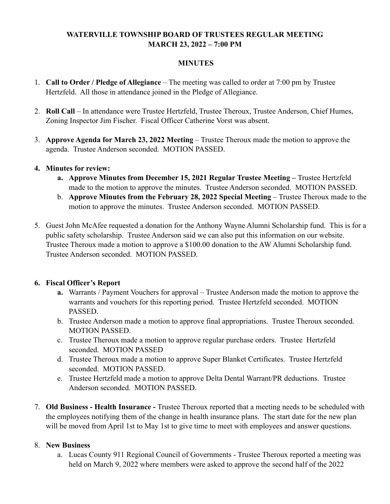# **WATERVILLE TOWNSHIP BOARD OF TRUSTEES REGULAR MEETING MARCH 23, 2022 – 7:00 PM**

#### **MINUTES**

- 1. **Call to Order / Pledge of Allegiance** The meeting was called to order at 7:00 pm by Trustee Hertzfeld. All those in attendance joined in the Pledge of Allegiance.
- 2. **Roll Call** In attendance were Trustee Hertzfeld, Trustee Theroux, Trustee Anderson, Chief Humes, Zoning Inspector Jim Fischer. Fiscal Officer Catherine Vorst was absent.
- 3. **Approve Agenda for March 23, 2022 Meeting** Trustee Theroux made the motion to approve the agenda. Trustee Anderson seconded. MOTION PASSED.
- **4. Minutes for review:** 
	- **a. Approve Minutes from December 15, 2021 Regular Trustee Meeting Trustee Hertzfeld** made to the motion to approve the minutes. Trustee Anderson seconded. MOTION PASSED.
	- b. **Approve Minutes from the February 28, 2022 Special Meeting** Trustee Theroux made to the motion to approve the minutes. Trustee Anderson seconded. MOTION PASSED.
- 5. Guest John McAfee requested a donation for the Anthony Wayne Alumni Scholarship fund. This is for a public safety scholarship. Trustee Anderson said we can also put this information on our website. Trustee Theroux made a motion to approve a \$100.00 donation to the AW Alumni Scholarship fund. Trustee Anderson seconded. MOTION PASSED.

# **6. Fiscal Officer's Report**

- **a.** Warrants / Payment Vouchers for approval Trustee Anderson made the motion to approve the warrants and vouchers for this reporting period. Trustee Hertzfeld seconded. MOTION PASSED.
- b. Trustee Anderson made a motion to approve final appropriations. Trustee Theroux seconded. MOTION PASSED.
- c. Trustee Theroux made a motion to approve regular purchase orders. Trustee Hertzfeld seconded. MOTION PASSED
- d. Trustee Theroux made a motion to approve Super Blanket Certificates. Trustee Hertzfeld seconded. MOTION PASSED.
- e. Trustee Hertzfeld made a motion to approve Delta Dental Warrant/PR deductions. Trustee Anderson seconded. MOTION PASSED.
- 7. **Old Business Health Insurance** Trustee Theroux reported that a meeting needs to be scheduled with the employees notifying them of the change in health insurance plans. The start date for the new plan will be moved from April 1st to May 1st to give time to meet with employees and answer questions.

# 8. **New Business**

a. Lucas County 911 Regional Council of Governments - Trustee Theroux reported a meeting was held on March 9, 2022 where members were asked to approve the second half of the 2022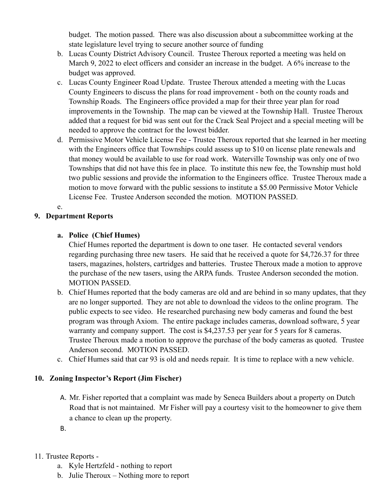budget. The motion passed. There was also discussion about a subcommittee working at the state legislature level trying to secure another source of funding

- b. Lucas County District Advisory Council. Trustee Theroux reported a meeting was held on March 9, 2022 to elect officers and consider an increase in the budget. A 6% increase to the budget was approved.
- c. Lucas County Engineer Road Update. Trustee Theroux attended a meeting with the Lucas County Engineers to discuss the plans for road improvement - both on the county roads and Township Roads. The Engineers office provided a map for their three year plan for road improvements in the Township. The map can be viewed at the Township Hall. Trustee Theroux added that a request for bid was sent out for the Crack Seal Project and a special meeting will be needed to approve the contract for the lowest bidder.
- d. Permissive Motor Vehicle License Fee Trustee Theroux reported that she learned in her meeting with the Engineers office that Townships could assess up to \$10 on license plate renewals and that money would be available to use for road work. Waterville Township was only one of two Townships that did not have this fee in place. To institute this new fee, the Township must hold two public sessions and provide the information to the Engineers office. Trustee Theroux made a motion to move forward with the public sessions to institute a \$5.00 Permissive Motor Vehicle License Fee. Trustee Anderson seconded the motion. MOTION PASSED.

e.

#### **9. Department Reports**

## **a. Police (Chief Humes)**

Chief Humes reported the department is down to one taser. He contacted several vendors regarding purchasing three new tasers. He said that he received a quote for \$4,726.37 for three tasers, magazines, holsters, cartridges and batteries. Trustee Theroux made a motion to approve the purchase of the new tasers, using the ARPA funds. Trustee Anderson seconded the motion. MOTION PASSED.

- b. Chief Humes reported that the body cameras are old and are behind in so many updates, that they are no longer supported. They are not able to download the videos to the online program. The public expects to see video. He researched purchasing new body cameras and found the best program was through Axiom. The entire package includes cameras, download software, 5 year warranty and company support. The cost is \$4,237.53 per year for 5 years for 8 cameras. Trustee Theroux made a motion to approve the purchase of the body cameras as quoted. Trustee Anderson second. MOTION PASSED.
- c. Chief Humes said that car 93 is old and needs repair. It is time to replace with a new vehicle.

#### **10. Zoning Inspector's Report (Jim Fischer)**

- A. Mr. Fisher reported that a complaint was made by Seneca Builders about a property on Dutch Road that is not maintained. Mr Fisher will pay a courtesy visit to the homeowner to give them a chance to clean up the property.
- B.

#### 11. Trustee Reports -

- a. Kyle Hertzfeld nothing to report
- b. Julie Theroux Nothing more to report